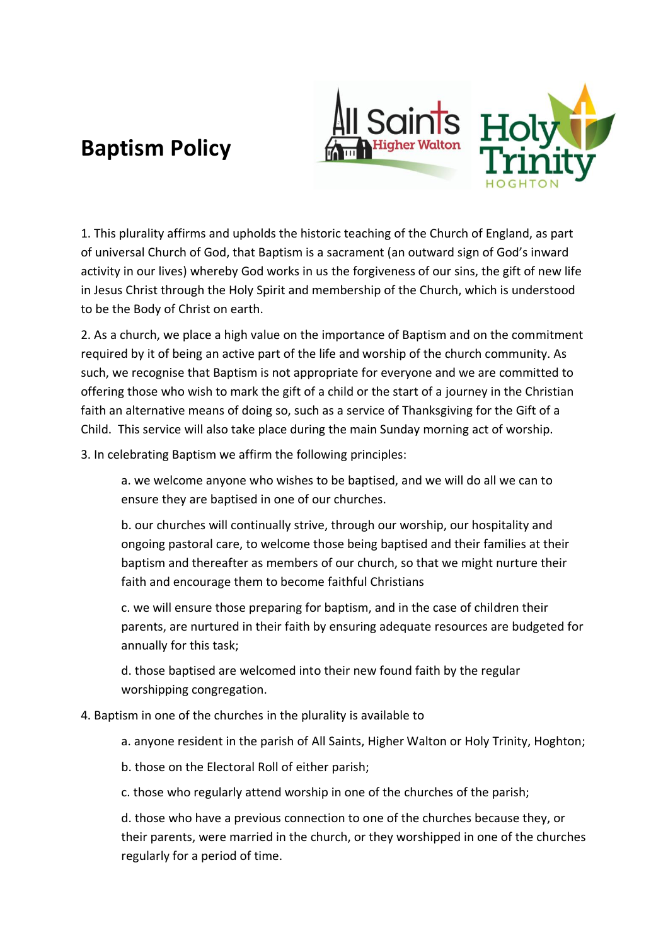## **Baptism Policy**





1. This plurality affirms and upholds the historic teaching of the Church of England, as part of universal Church of God, that Baptism is a sacrament (an outward sign of God's inward activity in our lives) whereby God works in us the forgiveness of our sins, the gift of new life in Jesus Christ through the Holy Spirit and membership of the Church, which is understood to be the Body of Christ on earth.

2. As a church, we place a high value on the importance of Baptism and on the commitment required by it of being an active part of the life and worship of the church community. As such, we recognise that Baptism is not appropriate for everyone and we are committed to offering those who wish to mark the gift of a child or the start of a journey in the Christian faith an alternative means of doing so, such as a service of Thanksgiving for the Gift of a Child. This service will also take place during the main Sunday morning act of worship.

3. In celebrating Baptism we affirm the following principles:

a. we welcome anyone who wishes to be baptised, and we will do all we can to ensure they are baptised in one of our churches.

b. our churches will continually strive, through our worship, our hospitality and ongoing pastoral care, to welcome those being baptised and their families at their baptism and thereafter as members of our church, so that we might nurture their faith and encourage them to become faithful Christians

c. we will ensure those preparing for baptism, and in the case of children their parents, are nurtured in their faith by ensuring adequate resources are budgeted for annually for this task;

d. those baptised are welcomed into their new found faith by the regular worshipping congregation.

## 4. Baptism in one of the churches in the plurality is available to

- a. anyone resident in the parish of All Saints, Higher Walton or Holy Trinity, Hoghton;
- b. those on the Electoral Roll of either parish;
- c. those who regularly attend worship in one of the churches of the parish;

d. those who have a previous connection to one of the churches because they, or their parents, were married in the church, or they worshipped in one of the churches regularly for a period of time.